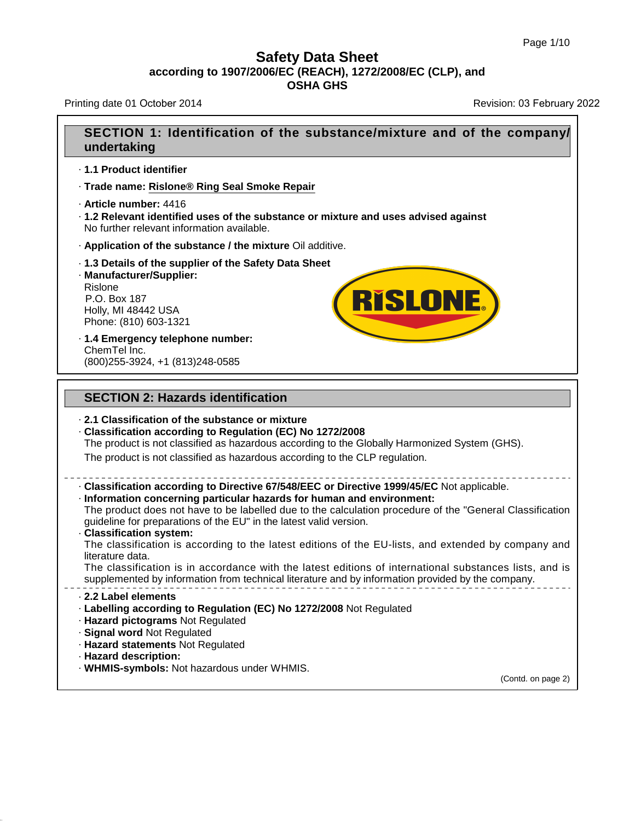# **Safety Data Sheet**<br>**according to 1907/2006/EC (REACH), 1272/2008/EC (CLP), and**<br>**OSHA GHS** t<mark>y Data Sheet</mark><br>C (REACH), 1272/2008<br>OSHA GHS

39.4.1

| according to 1907/2006/EC (REACH), 1272/2008/EC (CLP), and<br><b>OSHA GHS</b>                                                                                                                                                                                                                                                                                                                                                                                                                                                                                                                                                                                                                                                 |                            |  |
|-------------------------------------------------------------------------------------------------------------------------------------------------------------------------------------------------------------------------------------------------------------------------------------------------------------------------------------------------------------------------------------------------------------------------------------------------------------------------------------------------------------------------------------------------------------------------------------------------------------------------------------------------------------------------------------------------------------------------------|----------------------------|--|
| Printing date 01 October 2014                                                                                                                                                                                                                                                                                                                                                                                                                                                                                                                                                                                                                                                                                                 | Revision: 03 February 2022 |  |
| SECTION 1: Identification of the substance/mixture and of the company/<br>undertaking                                                                                                                                                                                                                                                                                                                                                                                                                                                                                                                                                                                                                                         |                            |  |
| 1.1 Product identifier                                                                                                                                                                                                                                                                                                                                                                                                                                                                                                                                                                                                                                                                                                        |                            |  |
| · Trade name: Rislone® Ring Seal Smoke Repair                                                                                                                                                                                                                                                                                                                                                                                                                                                                                                                                                                                                                                                                                 |                            |  |
| · Article number: 4416<br>· 1.2 Relevant identified uses of the substance or mixture and uses advised against<br>No further relevant information available.                                                                                                                                                                                                                                                                                                                                                                                                                                                                                                                                                                   |                            |  |
| . Application of the substance / the mixture Oil additive.                                                                                                                                                                                                                                                                                                                                                                                                                                                                                                                                                                                                                                                                    |                            |  |
| 1.3 Details of the supplier of the Safety Data Sheet<br>· Manufacturer/Supplier:<br>Rislone<br><b>RISLONE.</b><br>P.O. Box 187<br>Holly, MI 48442 USA<br>Phone: (810) 603-1321                                                                                                                                                                                                                                                                                                                                                                                                                                                                                                                                                |                            |  |
| · 1.4 Emergency telephone number:<br>ChemTel Inc.<br>(800) 255-3924, +1 (813) 248-0585                                                                                                                                                                                                                                                                                                                                                                                                                                                                                                                                                                                                                                        |                            |  |
| <b>SECTION 2: Hazards identification</b>                                                                                                                                                                                                                                                                                                                                                                                                                                                                                                                                                                                                                                                                                      |                            |  |
| 2.1 Classification of the substance or mixture<br>Classification according to Regulation (EC) No 1272/2008<br>The product is not classified as hazardous according to the Globally Harmonized System (GHS).<br>The product is not classified as hazardous according to the CLP regulation.                                                                                                                                                                                                                                                                                                                                                                                                                                    |                            |  |
| - Classification according to Directive 67/548/EEC or Directive 1999/45/EC Not applicable.<br>· Information concerning particular hazards for human and environment:<br>The product does not have to be labelled due to the calculation procedure of the "General Classification"<br>guideline for preparations of the EU" in the latest valid version.<br>· Classification system:<br>The classification is according to the latest editions of the EU-lists, and extended by company and<br>literature data.<br>The classification is in accordance with the latest editions of international substances lists, and is<br>supplemented by information from technical literature and by information provided by the company. |                            |  |
| 2.2 Label elements<br>· Labelling according to Regulation (EC) No 1272/2008 Not Regulated<br>· Hazard pictograms Not Regulated<br>· Signal word Not Regulated<br>· Hazard statements Not Regulated<br>· Hazard description:<br>. WHMIS-symbols: Not hazardous under WHMIS.                                                                                                                                                                                                                                                                                                                                                                                                                                                    | (Contd. on page 2)         |  |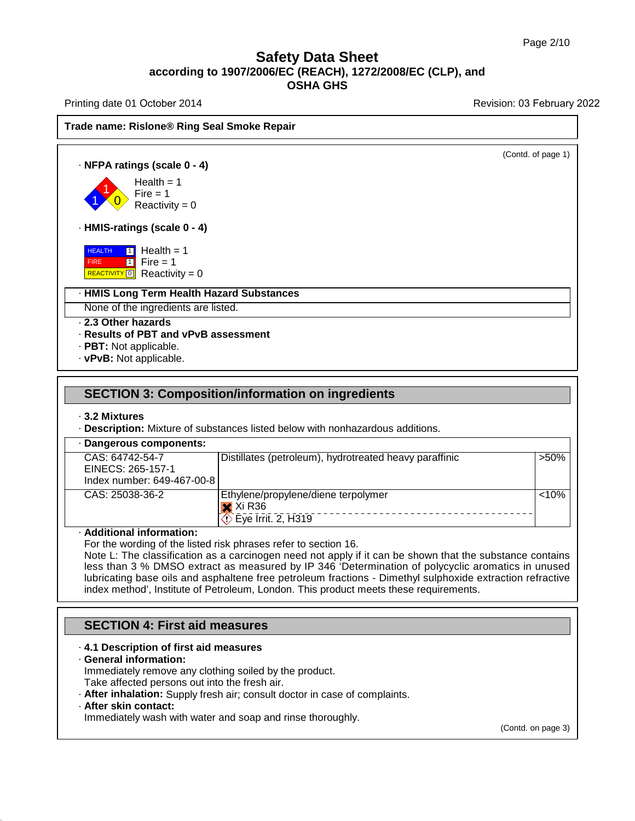### **Safety Data Sheet<br>006/EC (REACH), 1272/2008/E<br>OSHA GHS according to 1907/2006/EC (REACH), 1272/2008/EC (CLP), and<br>according to 1907/2006/EC (REACH), 1272/2008/EC (CLP), and<br>the section of Decision of the section of the section of the section of the section of the section of t** t<mark>y Data Sheet</mark><br>C (REACH), 1272/2008<br>OSHA GHS

Printing date 01 October 2014 **Revision: 03 February 2022** 

**Trade name: Rislone® Ring Seal Smoke Repair**<br> **Trade name: Rislone® Ring Seal Smoke Repair**<br>
Trade name: Rislone® Ring Seal Smoke Repair (Contd. of page 1) **ade name: Rislone® Ring Seal S**<br> **• NFPA ratings (scale 0 - 4)**<br>
Health = 1  $\left| \begin{array}{c} 1 \\ 0 \end{array} \right|$  Reactivi Health =  $1$ <br>Fire =  $1$  $\begin{array}{r} \text{Rislonee@ Ring Seal} \ \hline \ \end{array}$ <br>  $\begin{array}{r} \text{Hes}(\text{scale 0 - 4}) \ \text{Health} = 1 \ \text{Fire} = 1 \ \text{Reactivity} = 0 \end{array}$ **Figure 15**<br>**Fire state 0 - 4)**<br>Health = 1<br>Fire = 1<br>Reactivity = 0 **ngs (scale 0 - 4)**<br>Health = 1<br>Fire = 1<br>Reactivity = 0<br>**ngs (scale 0 - 4) Health = 1**<br> **Health = 1**<br> **Reactivity = 0**<br> **HMIS-ratings (scale 0 - 4)**<br> **HEALTH T** Health = 1 **HEALTH** 1 Hea FIRE REACTIVITY  $\boxed{0}$  Reactivity = 0  $1$  Fire = 1 Fire = 1<br>
Reactivity = 0<br> **ings (scale 0 - 4)**<br> **1** Health = 1<br>
Fire = 1<br> **1** Reactivity = 0 :eactivity = 0<br>**Is (scale 0 - 4)**<br>Health = 1<br>Fire = 1<br>Reactivity = 0 **s (scale 0 - 4)**<br>Health = 1<br>Fire = 1<br>Reactivity = 0<br>**Term Health Hazard 3 HEALTH TO Health = 1<br>
FIRE TO FIFT FIFT FIFT - 1**<br> **REACTIVITY** <sup>1</sup> Reactivity = 0<br> **HMIS Long Term Health Hazard Substances**<br>
None of the ingredients are listed. **HEALTH 11** Health = 1<br>
FIRE TI Fire = 1<br>
REACTIVITY 0 Reactivity = 0<br> **· HMIS Long Term Health Hazard Sub**<br>
None of the ingredients are listed.<br> **· 2.3 Other hazards**<br> **· Results of PBT and vPvB assessme**<br> **· PBT:** Not a **Example Treading = 0**<br> **Results Only Term Health Hazard Substances**<br> **Results of PBT and vPvB assessment**<br> **RESULTS OF PBT and vPvB assessment**<br> **RESULTS OF PBT and vPvB assessment**<br> **RESULTS AND ADDEABLE AND ADDEABLE ASS** None of the ingredients are listed.<br>
• **2.3 Other hazards**<br>
• **Results of PBT and vPvB assessment**<br>
• **PBT:** Not applicable.<br>
• **vPvB:** Not applicable. **SECTION 3: Composition/information on ingredients<br>
SECTION 3: Composition/information on ingredients<br>
SECTION 3: Composition/information on ingredients<br>
3.2 Mixtures SECTION 3: Com**<br>**3.2 Mixtures**<br>**Description:** Mixture of Penacrous company

|                                                                    | · Description: Mixture of substances listed below with nonhazardous additions. |
|--------------------------------------------------------------------|--------------------------------------------------------------------------------|
| · Dangerous components:                                            |                                                                                |
| CAS: 64742-54-7<br>EINECS: 265-157-1<br>Index number: 649-467-00-8 | $>50\%$<br>Distillates (petroleum), hydrotreated heavy paraffinic              |
| CAS: 25038-36-2<br>$\times$ Xi R36<br>$\circ$ Eye Irrit. 2, H319   | < 10%<br>Ethylene/propylene/diene terpolymer                                   |

Additional information:<br>
For the wording of the listed risk phrases refer to section 16.<br>
Note L: The classification as a carcinogen need not apply if it can be shown that the substance contains<br>
less than 3 % DMSO extract **ACT R30**<br>
( $\overline{C}$ ) Eye Irrit. 2, H319<br>
For the wording of the listed risk phrases refer to section 16.<br>
Note L: The classification as a carcinogen need not apply if it can be shown that the substance contains<br>
less tha Lubricational information:<br>
For the wording of the listed risk phrases refer to section 16.<br>
Note L: The classification as a carcinogen need not apply if it can be shown that the substance contains<br>
less than 3 % DMSO extr Additional information:<br>For the wording of the listed risk phrases refer to section 16.<br>Note L: The classification as a carcinogen need not apply if it can be shown that the subs<br>less than 3 % DMSO extract as measured by I Note L: The classification as a carcinogen need notes than 3 % DMSO extract as measured by IP<br>lubricating base oils and asphaltene free petroleur<br>index method', Institute of Petroleum, London. This<br>**SECTION 4: First aid me** 

### Francex method, institute of Petroleum, London. The<br>
SECTION 4: First aid measures<br> **4.1 Description of first aid measures**<br> **4.1 Description of first aid measures**<br>
Immediately remove any clothing soiled by the promotion. **SECTION 4: First aid i**<br>**4.1 Description of first aid · General information:**<br>Immediately remove any clouds are affected persons out in

- 
- **4.1 Description of first aid measures<br>
Ceneral information:**<br>
Immediately remove any clothing soiled by the product.<br>
Take affected persons out into the fresh air.<br> **After inhalation:** Supply fresh air; consult doctor in **SECTION 4: First aid measures**<br> **4.1 Description of first aid measures**<br> **Ceneral information:**<br>
Immediately remove any clothing soiled by the product.<br>
Take affected persons out into the fresh air.<br> **After inhalation:** S

39.4.1

. After skin contact:<br>Immediately wash with water and soap and rinse thoroughly.

(Contd. on page 3)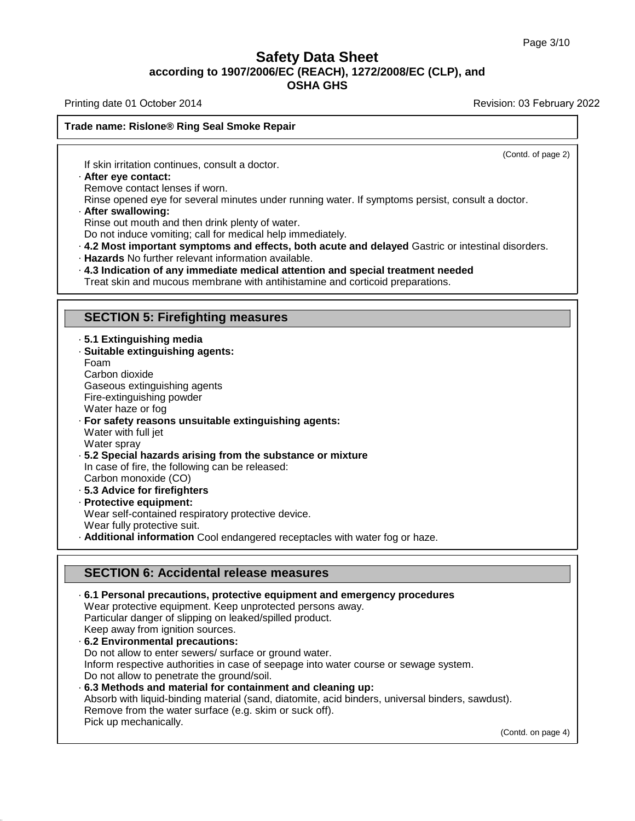### **Safety Data Sheet<br>006/EC (REACH), 1272/2008/E<br>OSHA GHS according to 1907/2006/EC (REACH), 1272/2008/EC (CLP), and<br>according to 1907/2006/EC (REACH), 1272/2008/EC (CLP), and<br>the section of Decision of the section of the section of the section of the section of the section of t Safety Data Sheet**<br>according to 1907/2006/EC (REACH), 1272/2008/EC (CLP), and<br>OSHA GHS

Printing date 01 October 2014 **Printing date 01 October 2014** Revision: 03 February 2022

(Contd. of page 2)

### **Trade name: Rislone® Ring Seal Smoke Repair** If skin irritation continues, consult a doctor.<br>If skin irritation continues, consult a doctor.<br>**· After eye contact:**<br>Remove contact lenses if worn.<br>Rinse opened eve for several minutes under run

The name. Risione of Ring Sear Sino<br>If skin irritation continues, consult a<br>After eye contact:<br>Remove contact lenses if worn.<br>Rinse opened eye for several minute

Remove contact:<br> **Rinse opened eye for several minutes under running water.** If symptoms persist, consult a doctor.<br> **Rinse opened eye for several minutes under running water.** If symptoms persist, consult a doctor.<br> **Afte** 

If skin irritation continues, consult a doctor.<br> **After eye contact:**<br>
Remove contact lenses if worn.<br>
Rinse opened eye for several minutes under running<br> **After swallowing:**<br>
Rinse out mouth and then drink plenty of water

- Fraction Contact:<br>
Remove contact lenses if worn.<br>
Rinse opened eye for several minutes under running water. If symptoms persist, consult a doctor.<br> **After swallowing:**<br>
Rinse out mouth and then drink plenty of water.<br>
Do Frame out mouth and then drink plenty of water.<br>
Do not induce vomiting; call for medical help immediately.<br> **4.2 Most important symptoms and effects, both acute and delayed** Gastric or intestinal disorders.<br> **Hazards** No
- 

4.2 Most Important symptoms and enects, both active Hazards No further relevant information available.<br>**4.3 Indication of any immediate medical attention and Treat skin and mucous membrane with antihistamine are SECTION 5:** 

- 
- **SECTION 5: Firefighting media**<br>• **5.1 Extinguishing media**<br>• Suitable extinguishing agents:<br>• Foam **SECTION 5: Firefighting meas**<br>· **5.1 Extinguishing media**<br>· **Suitable extinguishing agents:**<br>Foam<br>Carbon dioxide Foam **SECTION 5: Firefig**<br>**5.1 Extinguishing medi<br>Suitable extinguishing**<br>Foam<br>Carbon dioxide<br>Gaseous extinguishing a<br>Fire-extinguishing powds 5.1 Extinguishing media<br>Suitable extinguishing agents:<br>Foam<br>Carbon dioxide<br>Gaseous extinguishing agents<br>Fire-extinguishing powder<br>Water haze or fog 5.1 Extinguishing media<br>Suitable extinguishing agents<br>Foam<br>Carbon dioxide<br>Gaseous extinguishing agents<br>Fire-extinguishing powder<br>Water haze or fog<br>For safety reasons unsuitable **Suitable extinguishing ag**<br>Foam<br>Carbon dioxide<br>Gaseous extinguishing age<br>Fire-extinguishing powder<br>Water haze or fog<br>**For safety reasons unsuit**<br>Water with full jet Carbon dioxide<br>Gaseous extinguishing<br>Fire-extinguishing pov<br>Water haze or fog<br>**For safety reasons u**<br>Water with full jet<br>Water spray<br>5.2 Special bazards a
- Carbon dioxide<br>
Gaseous extinguishing agents<br>
Fire-extinguishing powder<br>
Water haze or fog<br> **· For safety reasons unsuitable extinguishing agents:**<br>
Water with full jet<br>
Water spray Gaseous extinguishi<br>Fire-extinguishing pc<br>Water haze or fog<br>For safety reasons<br>Water with full jet<br>Water spray<br>5.2 Special hazards<br>In case of fire, the fo Fire-extinguishing powder<br>
Water haze or fog<br> **· For safety reasons unsuitable extinguishing agents:**<br>
Water with full jet<br>
Water spray<br> **· 5.2 Special hazards arising from the substance or mixture**<br>
In case of fire, the f Water haze or fog<br>**For safety reasons unsuitable extinguishing a**<br>Water with full jet<br>Water spray<br>**5.2 Special hazards arising from the substanc**<br>In case of fire, the following can be released:<br>Carbon monoxide (CO)<br>**5.3 Ad**
- For safety reasons unsuita<br>Water with full jet<br>Water spray<br>5.2 Special hazards arising<br>In case of fire, the following c<br>Carbon monoxide (CO)<br>5.3 Advice for firefighters<br>Protective equipment: vater with full jet<br>
Use Sale Spray<br> **5.2 Special hazards arising from the Incase of fire, the following can be reflect<br>
Carbon monoxide (CO)<br>
<b>5.3 Advice for firefighters**<br> **Protective equipment:**<br>
Wear self-contained res vater spray<br> **5.2 Special hazards arising**<br>
In case of fire, the following c.<br>
Carbon monoxide (CO)<br> **5.3 Advice for firefighters**<br> **Protective equipment:**<br>
Wear self-contained respirate<br>
Wear fully protective suit. In case of fire, the following can be released:<br>Carbon monoxide (CO)<br>5.3 Advice for firefighters<br>Protective equipment:<br>Wear self-contained respiratory protective device.<br>Wear fully protective suit. In case of fire, the following can be released:<br>
Carbon monoxide (CO)<br> **· 5.3 Advice for firefighters**<br> **· Protective equipment:**<br>
Wear self-contained respiratory protective device.<br>
Wear fully protective suit.<br> **· Additio**
- 
- 
- 

**Protective equipment:**<br>Wear self-contained respiratory protective device.<br>Wear fully protective suit.<br>**Additional information** Cool endangered receptacles with water<br>**SECTION 6: Accidental release measures**<br>6.1 Personal p • **Additional Information** Cool endangered receptacies with water fog or naze.<br> **SECTION 6: Accidental release measures**<br>
• 6.1 Personal precautions, protective equipment and emergency procedures<br>
Wear protective equipment **SECTION 6: Accidental release measures<br>6.1 Personal precautions, protective equipment and emergen<br>Wear protective equipment. Keep unprotected persons away.<br>Particular danger of slipping on leaked/spilled product. SECTION 6: Accidental release measures**<br>6.1 Personal precautions, protective equipment and en<br>Wear protective equipment. Keep unprotected persons away<br>Particular danger of slipping on leaked/spilled product.<br>Keep away fro **SECTION 6: Accidental release**<br>
• **6.1 Personal precautions, protective**<br>
Wear protective equipment. Keep unpro<br>
Particular danger of slipping on leaked/<br>
Keep away from ignition sources.<br>
• **6.2 Environmental precautions** Wear protective equipment. Keep unprotected persons away.<br>Particular danger of slipping on leaked/spilled product.<br>Keep away from ignition sources.<br>**6.2 Environmental precautions:**<br>Do not allow to enter sewers/ surface or Inform respective authorities in case of seepage into water course or sewage system. Particular danger of slipping on leaked/spilled product.<br>
Keep away from ignition sources.<br> **6.2 Environmental precautions:**<br>
Do not allow to enter sewers/ surface or ground water.<br>
Inform respective authorities in case of Absorb with liquid-binding material (sand, diatomite, acid binders, universal binders, sawdust).<br>Remove from the water surface (e.g. skim or suck off).<br>Pick up mechanically. Do not allow to enter sewers/ surface or ground water.<br>Inform respective authorities in case of seepage into water O<br>Do not allow to penetrate the ground/soil.<br>6.3 Methods and material for containment and cleaning<br>Absorb w Inform respective authoritic<br>Do not allow to penetrate t<br>**6.3 Methods and materia**<br>Absorb with liquid-binding<br>Remove from the water su<br>Pick up mechanically.

39.4.1

(Contd. on page 4)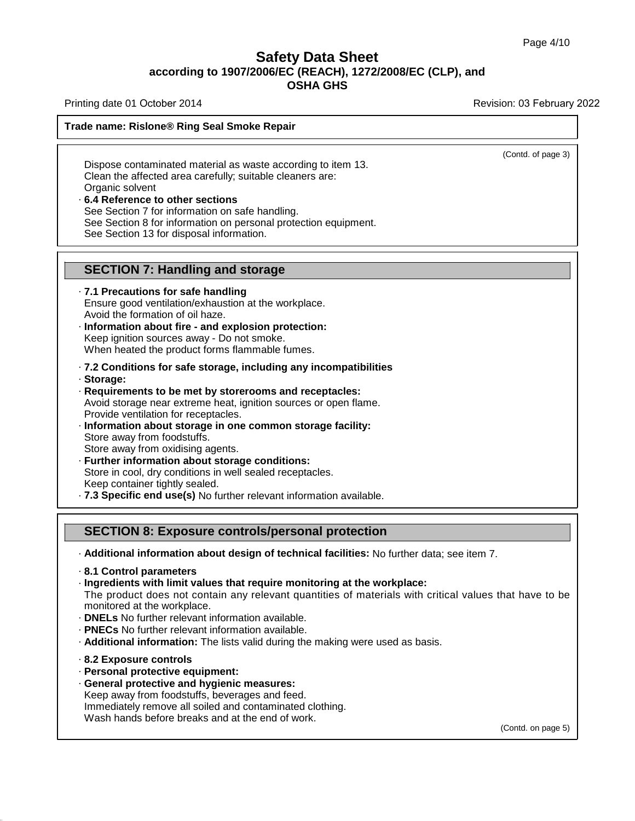### **Safety Data Sheet<br>006/EC (REACH), 1272/2008/E<br>OSHA GHS according to 1907/2006/EC (REACH), 1272/2008/EC (CLP), and<br>according to 1907/2006/EC (REACH), 1272/2008/EC (CLP), and<br>the section of Decision of the section of the section of the section of the section of the section of t Safety Data Sheet**<br>according to 1907/2006/EC (REACH), 1272/2008/EC (CLP), and<br>OSHA GHS

Printing date 01 October 2014 **Printing date 01 October 2014** Revision: 03 February 2022

(Contd. of page 3)

### **Trade name: Rislone® Ring Seal Smoke Repair**

Thing date of October 2014<br>
Me name: Rislone® Ring Seal Smoke Repair<br>
Dispose contaminated material as waste according to item 13.<br>
Clean the affected area carefully; suitable cleaners are:<br>
Organic solvent de name: Rislone® Ring Seal Smoke Repair<br>
Dispose contaminated material as waste according to item<br>
Clean the affected area carefully; suitable cleaners are:<br>
Organic solvent<br>
6.4 Reference to other sections Clean the affected area carefully; suitable cleaners are:<br>
Organic solvent<br> **6.4 Reference to other sections**<br>
See Section 7 for information on safe handling. Dispose contaminated material as waste according<br>Clean the affected area carefully; suitable cleaners<br>Organic solvent<br>6.4 Reference to other sections<br>See Section 7 for information on personal protection<br>See Section 13 for Dispose contaminated material as waste according to item 13.<br>Clean the affected area carefully; suitable cleaners are:<br>Organic solvent<br>6.4 Reference to other sections<br>See Section 7 for information on personal protection eq Clean the affected area carefully; suitable cle<br>Organic solvent<br>6.4 Reference to other sections<br>See Section 7 for information on safe handlir<br>See Section 8 for information on personal present See Section 13 for disposal in

- **b.4 Reference to other sections**<br>
See Section 7 for information on safe handling.<br>
See Section 8 for information on personal protection eq<br>
See Section 13 for disposal information.<br> **SECTION 7: Handling and storage**<br>
7.1 See Section 13 for disposal information.<br> **SECTION 7: Handling and storage**<br> **7.1 Precautions for safe handling**<br>
Ensure good ventilation/exhaustion at the wor<br>
Avoid the formation of oil haze. **SECTION 7: Handling and storage**<br>**7.1 Precautions for safe handling**<br>Ensure good ventilation/exhaustion at the workplace.<br>Avoid the formation of oil haze.<br>Information about fire - and explosion protection: **SECTION 7: Handling and storage**<br>
• **7.1 Precautions for safe handling**<br>
Ensure good ventilation/exhaustion at the workplace.<br>
Avoid the formation of oil haze.<br>
• **Information about fire - and explosion protection:**<br>
Keep The Precautions for safe handling<br>
Ensure good ventilation/exhaustion at the workplace.<br>
Avoid the formation of oil haze.<br>
Information about fire - and explosion protection:<br>
Keep ignition sources away - Do not smoke.<br>
Whe
- **7.1 Precautions for safe handling**<br>
Ensure good ventilation/exhaustion at the workplace.<br>
Avoid the formation of oil haze.<br>
 **Information about fire and explosion protection:**<br>
Keep ignition sources away Do not sm
- · **Storage:**
- Example 10 in the method was vertex to be method when heated the product forms flammable fumes.<br> **7.2 Conditions for safe storage, including any incompatibilitie**<br> **Requirements to be met by storerooms and receptacles:**<br>
A When heated the product forms flammable fumes.<br> **7.2 Conditions for safe storage, including any incompatibilities**<br> **Storage:**<br> **Requirements to be met by storerooms and receptacles:**<br>
Avoid storage near extreme heat, igni Provides are predection for manimeter cancer.<br> **Provide:**<br> **Provide:**<br> **Provide:**<br> **Provide storage near extreme heat, ignition sources or open flame.**<br>
Provide ventilation for receptacles.<br> **Provide ventilation for recept**
- Storage:<br>Requirements to be met by sto<br>Avoid storage near extreme hea<br>Provide ventilation for receptacle<br>Information about storage in c<br>Store away from oxidising agent<br>Eurther information about stol **Requirements to be met by storerooms and recepta**<br>Avoid storage near extreme heat, ignition sources or op<br>Provide ventilation for receptacles.<br>**Information about storage in one common storage**<br>Store away from oxidising ag
- Provide ventilation for receptacles.<br>**Information about storage in one common storage facil**<br>Store away from oxidising agents.<br>Store away from oxidising agents.<br>**Further information about storage conditions:**<br>Store in cool Furthermation about storage in one common storage facility:<br>Store away from oxidising agents.<br>Further information about storage conditions:<br>Store in cool, dry conditions in well sealed receptacles.<br>Keep container tightly s Further Information about storage conditions:<br>Store in cool, dry conditions in well sealed receptacles.<br>Keep container tightly sealed.<br>**7.3 Specific end use(s)** No further relevant information available.<br>**SECTION 8: Exposu**
- 

· **Additional information about design of technical facilities:** No further data; see item 7. · **8.1 Control parameters**

- 
- 
- **SECTION 8: Exposure controls/personal protection**<br>
 Additional information about design of technical facilities: No further data; see item 7.<br>
 8.1 Control parameters<br>
 Ingredients with limit values that require monit The product does not contain any relevant quantities of materials with critical values that have to be monitored at the workplace.<br>  $\cdot$  DNELs No further relevant information available. - Additional information about design of technical facilities: No further data; see<br>
- 8.1 Control parameters<br>
- Ingredients with limit values that require monitoring at the workplace:<br>
The product does not contain any re
- 
- 
- **PNECs** No further relevant information available.<br>• **Additional information:** The lists valid during the<br>• 8.2 Exposure controls<br>• Personal protective equipment:<br>• General protective and hygienic measures:
- 

39.4.1

- 
- Keep away from foodstuffs, beverages and feed. **Exposure controls**<br> **Exposure controls**<br> **Exposure controls**<br> **Exposure controls**<br> **Ceneral protective equipment:**<br> **Ceneral protective and hygienic measures:**<br>
Keep away from foodstuffs, beverages and feed.<br>
Immediately Framerican internation the last calling the matterial given<br> **8.2 Exposure controls**<br> **Personal protective and hygienic measures:**<br>
Keep away from foodstuffs, beverages and feed.<br>
Immediately remove all soiled and contamin 8.2 Exposure controls<br>Personal protective equipment:<br>General protective and hygienic measures:<br>Keep away from foodstuffs, beverages and feed.<br>Immediately remove all soiled and contaminated clothin<br>Wash hands before breaks

(Contd. on page 5)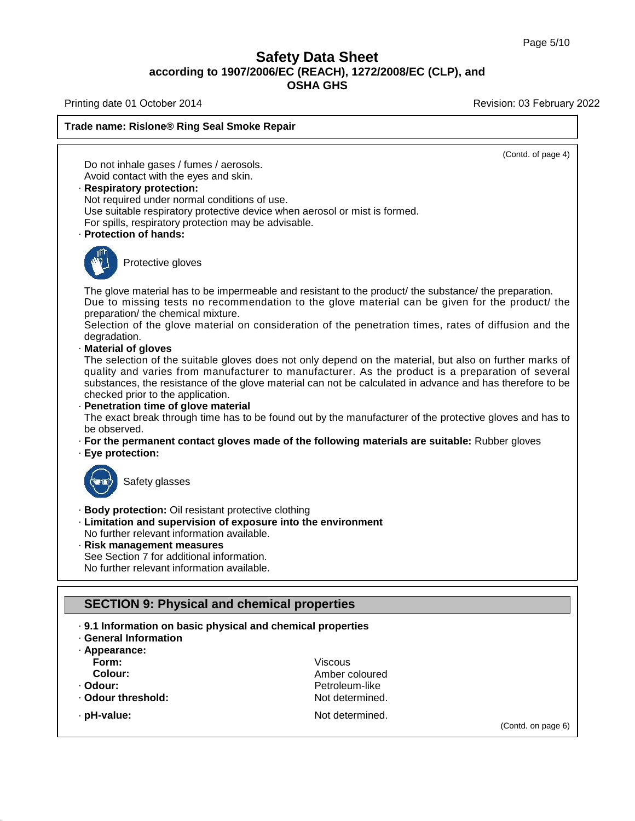### **Safety Data Sheet<br>006/EC (REACH), 1272/2008/E<br>OSHA GHS according to 1907/2006/EC (REACH), 1272/2008/EC (CLP), and<br>according to 1907/2006/EC (REACH), 1272/2008/EC (CLP), and<br>the section of Decision of the section of the section of the section of the section of the section of t Safety Data Sheet**<br>according to 1907/2006/EC (REACH), 1272/2008/EC (CLP), and<br>OSHA GHS

Printing date 01 October 2014 **Printing date 01 October 2014** Revision: 03 February 2022

(Contd. on page 6)



39.4.1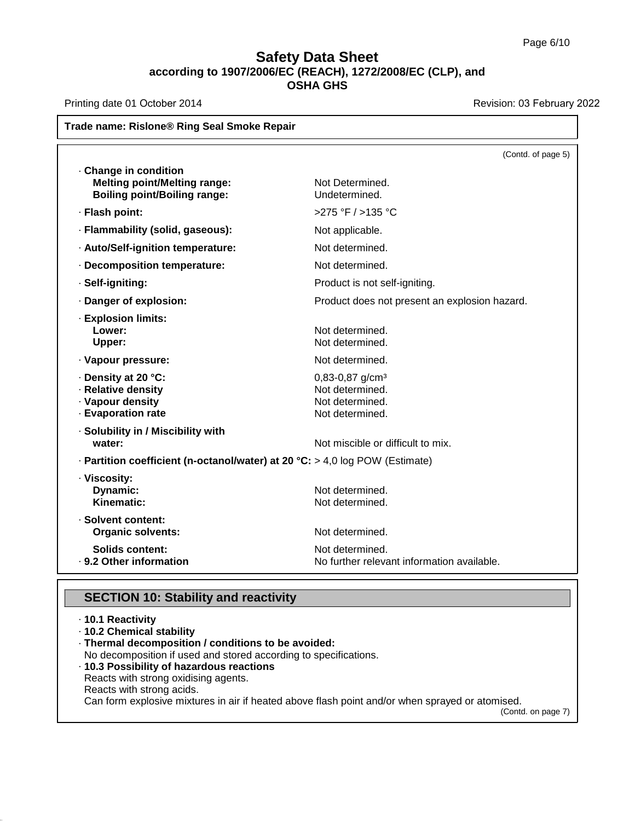## **Safety Data Sheet**<br> **according to 1907/2006/EC (REACH), 1272/2008/EC (CLP), and**<br> **OSHA GHS** t<mark>y Data Sheet</mark><br>C (REACH), 1272/2008<br>OSHA GHS **Trade name: Rislone® Ring Seal Smoke Repair**<br> **Trade name: Rislone® Ring Seal Smoke Repair**<br>
Trade name: Rislone® Ring Seal Smoke Repair

Printing date 01 October 2014 **Printing date 01 October 2014** Revision: 03 February 2022

|                                                                                                   | Trade name: Rislone® Ring Seal Smoke Repair                                            |
|---------------------------------------------------------------------------------------------------|----------------------------------------------------------------------------------------|
|                                                                                                   | (Contd. of page 5)                                                                     |
| Change in condition<br><b>Melting point/Melting range:</b><br><b>Boiling point/Boiling range:</b> | Not Determined.<br>Undetermined.                                                       |
| · Flash point:                                                                                    | >275 °F / >135 °C                                                                      |
| · Flammability (solid, gaseous):                                                                  | Not applicable.                                                                        |
| · Auto/Self-ignition temperature:                                                                 | Not determined.                                                                        |
| · Decomposition temperature:                                                                      | Not determined.                                                                        |
| · Self-igniting:                                                                                  | Product is not self-igniting.                                                          |
| · Danger of explosion:                                                                            | Product does not present an explosion hazard.                                          |
| · Explosion limits:<br>Lower:<br>Upper:                                                           | Not determined.<br>Not determined.                                                     |
| · Vapour pressure:                                                                                | Not determined.                                                                        |
| · Density at 20 °C:<br>· Relative density<br>· Vapour density<br>· Evaporation rate               | $0,83-0,87$ g/cm <sup>3</sup><br>Not determined.<br>Not determined.<br>Not determined. |
| · Solubility in / Miscibility with<br>water:                                                      | Not miscible or difficult to mix.                                                      |
| $\cdot$ Partition coefficient (n-octanol/water) at 20 °C: > 4,0 log POW (Estimate)                |                                                                                        |
| · Viscosity:<br>Dynamic:<br>Kinematic:                                                            | Not determined.<br>Not determined.                                                     |
| · Solvent content:<br><b>Organic solvents:</b>                                                    | Not determined.                                                                        |
| <b>Solids content:</b><br>· 9.2 Other information                                                 | Not determined.<br>No further relevant information available.                          |
| <b>SECTION 10: Stability and reactivity</b>                                                       |                                                                                        |

39.4.1

· 9.2 Other Information<br>SECTION 10: Stabil<br>· 10.1 Reactivity<br>· 10.2 Chemical stability<br>· Thermal decomposition **SECTION 10: Stability and 10.1 Reactivity**<br>10.1 Reactivity<br>10.2 Chemical stability<br>Thermal decomposition / condi<br>No decomposition if used and sto **SECTION 10: Stability and reactivity**<br> **COMPTE 10.1 Reactivity**<br> **COMPTE 10.2 Chemical stability**<br> **COMPTE 10.2 Chemical stability**<br> **COMPTE 10.3 Possibility of hazardous reactions**<br> **COMPTE 10.3 Possibility of hazardous SECTION 10: Stability and reactivity**<br>
· **10.1 Reactivity**<br>
· **Thermal decomposition / conditions to be avoided:**<br>
No decomposition if used and stored according to specifications.<br>
· **10.3 Possibility of hazardous reactio** - 10.1 Reactivity<br>
- 10.2 Chemical stability<br>
- Thermal decomposition / conditions to be avoided:<br>
No decomposition if used and stored according to speci<br>
- 10.3 Possibility of hazardous reactions<br>
Reacts with strong oxid **10.2 Chemical stability<br>Thermal decomposition / cc**<br>No decomposition if used and<br>**10.3 Possibility of hazardou**<br>Reacts with strong oxidising a<br>Reacts with strong acids.<br>Can form explosive mixtures i Thermal decomposition / conditions to be avoided:<br>No decomposition if used and stored according to specifications.<br>10.3 Possibility of hazardous reactions<br>Reacts with strong oxidising agents.<br>Reacts with strong acids.<br>Can (Contd. on page 7)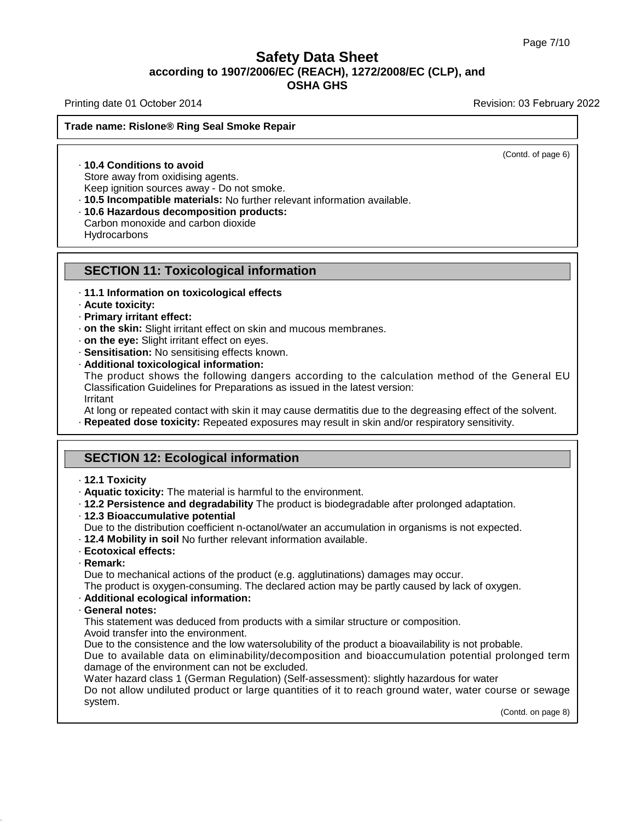### **Safety Data Sheet<br>006/EC (REACH), 1272/2008/E<br>OSHA GHS according to 1907/2006/EC (REACH), 1272/2008/EC (CLP), and<br>according to 1907/2006/EC (REACH), 1272/2008/EC (CLP), and<br>the section of Decision of the section of the section of the section of the section of the section of t Safety Data Sheet**<br>according to 1907/2006/EC (REACH), 1272/2008/EC (CLP), and<br>OSHA GHS **Trade name: Rislone® Ring Seal Smoke Repair**<br> **Trade name: Rislone® Ring Seal Smoke Repair**<br>
Trade name: Rislone® Ring Seal Smoke Repair

Printing date 01 October 2014 **Printing date 01 October 2014** Revision: 03 February 2022

(Contd. of page 6)

**10.4 Conditions to avoid<br>
State and State Street Street Street Street Street Street Street Street Street Street Street Street Street Street Street Street Street Street Street Street Street Street Street Street Street Stre** de name: Rislone® Ring Seal Smoke<br>
Store away from oxidising agents.<br>
Store away from oxidising agents.<br>
Keep ignition sources away - Do not sm<br>
The incompatible materials: No furth

Reep ignition sources away - Do not smoke.<br>
10.4 Conditions to avoid<br>
Store away from oxidising agents.<br>
10.5 **Incompatible materials:** No further relevant information available.<br>
10.6 Hazardous decomposition products:<br>
Ca • 10.4 Conditions to avoid<br>
Store away from oxidising agents.<br>
Keep ignition sources away - Do not smoke.<br>
• 10.5 Incompatible materials: No further relevant information available.<br>
• 10.6 Hazardous decomposition products

**Hydrocarbons TO.5 Incompatible materials:** No lumner relevant information and the secomposition products:<br>Carbon monoxide and carbon dioxide<br>Hydrocarbons<br>**SECTION 11: Toxicological information**<br>11.1 Information on toxicological effect

### **EXECTION 11: Toxicological information<br>• 11.1 Information on toxicological effects<br>• Acute toxicity:<br>• Primary irritant effect: SECTION 11: To**<br>· 11.1 Information on<br>· Acute toxicity:<br>· Primary irritant effe-<br>· on the skin: Slight ir **SECTION 11: Toxicolo**<br>- 11.1 Information on toxicolo:<br>- Acute toxicity:<br>- Primary irritant effect:<br>- on the skin: Slight irritant effect:<br>- on the eve: Slight irritant effect:

- 
- 
- 
- 
- 
- 
- 

SECTION 11: Toxicological information<br>
11.1 Information on toxicological effects<br>
11.1 Information on toxicological effects<br>
1.2 Primary irritant effect:<br>
1.0 The skin: Slight irritant effect on skin and mucous membranes.<br> **Primary irritant effect:**<br> **on the skin:** Slight irritant effect on skin and mucous membranes.<br> **on the eye:** Slight irritant effect on eyes.<br> **Sensitisation:** No sensitising effects known.<br> **Additional toxicological info • on the skin:** Slight irritant effect on skin and mucous membranes.<br> **• on the eye:** Slight irritant effect on eyes.<br> **• Sensitisation:** No sensitising effects known.<br> **• Additional toxicological information:**<br>
The prod Irritant At long or repeated contact with skin it may cause dermatitis due to the degreasing effect of the General EU<br>Classification Guidelines for Preparations as issued in the latest version:<br>Irritant<br>At long or repeated contact Classification Guidelines for Preparations as issued in the later<br>Irritant<br>At long or repeated contact with skin it may cause dermatitier<br>**Repeated dose toxicity:** Repeated exposures may result in<br>**SECTION 12: Ecological i** 

**• Repeated dose toxicity:** Repeated exposures may result in skin and/or respiratory sensitivity.<br>
<br>
<br> **12.1 Toxicity**<br>
• **12.1 Toxicity**: The material is harmful to the environment.<br>
• **12.2 Persistence and degradability** 

- 
- 
- 
- 
- **SECTION 12: Ecological information**<br> **· 12.1 Toxicity**<br> **· Aquatic toxicity:** The material is harmful to the environment.<br> **· 12.2 Persistence and degradability** The product is biodegradable after prolonged adaptation.<br> **Public to the distribution coefficient is harmful to the environment.**<br> **Public to the distribution coefficient n-octanol/water an accumulation in organisms is not expected.**<br> **Pue to the distribution coefficient n-octano** 12.3 Bioaccumulative potential<br>Due to the distribution coefficient n-octanol/water an accumulation in organisms is not e:<br>12.4 Mobility in soil No further relevant information available.<br>Ecotoxical effects:<br>Remark:<br>Due to
- 
- 
- 

39.4.1

· **Remark:**

The product is oxygen-consuming. The declared action may be partly caused by lack of oxygen-consuming. The declared action may be partly caused by lack of oxygen.<br>
∴ **Remark:**<br>
The product is oxygen-consuming. The declare

• **Ecotoxical effects:**<br>
• **Remark:**<br>
Due to mechanical actions of the product (e.g. agglutinations) damages may occur.<br>
The product is oxygen-consuming. The declared action may be partly caused by late<br>
• **Additional ecol** Remark:<br>Due to mechanical actions of the product (e.g. agglutinations) damages may occur.<br>The product is oxygen-consuming. The declared action may be partly caused by lack of<br>**Additional ecological information:**<br>General no Due to mechanical actions of the product<br>The product is oxygen-consuming. The of<br>**Additional ecological information:**<br>**General notes:**<br>This statement was deduced from produ<br>Avoid transfer into the environment.<br>Due to the c

The product is oxygen-consuming. The declared action may be partly caused by lack of oxygen.<br> **Additional ecological information:**<br> **General notes:**<br>
This statement was deduced from products with a similar structure or com Additional ecological information:<br>General notes:<br>This statement was deduced from products with a similar structure or composition.<br>Avoid transfer into the environment.<br>Due to the consistence and the low watersolubility of **General notes:**<br>This statement was deduced from products with a sim<br>Avoid transfer into the environment.<br>Due to the consistence and the low watersolubility of t<br>Due to available data on eliminability/decompositi<br>damage of

This statement was deduced from products with a similar structure or composition.<br>Avoid transfer into the environment.<br>Due to the consistence and the low watersolubility of the product a bioavailability is not probable.<br>Du Avoid transfer into the environment.<br>Due to the consistence and the low watersolubility of the product a bioavailability is not probable.<br>Due to available data on eliminability/decomposition and bioaccumulation potential p system. Do not allow undiluted product or large quantities of it to reach ground water, water course or sewage system.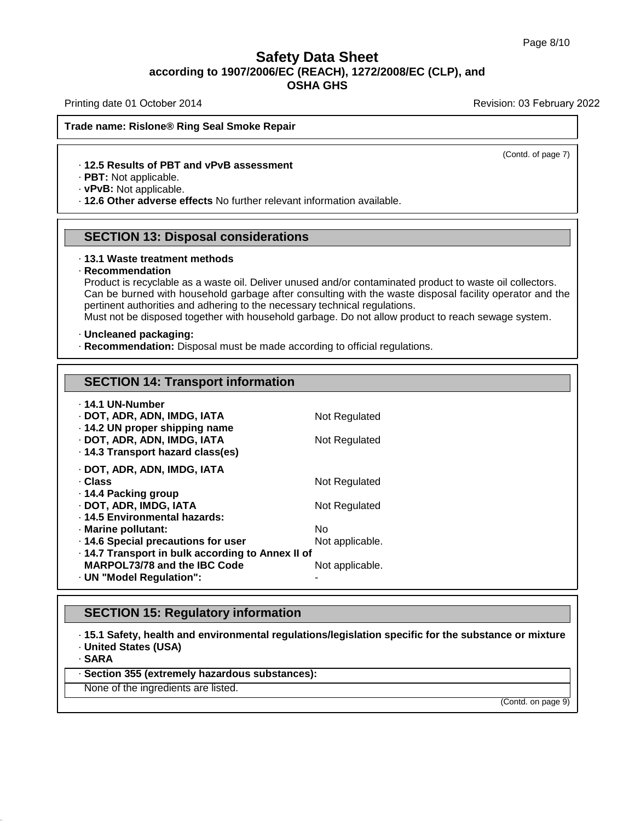### **Safety Data Sheet<br>006/EC (REACH), 1272/2008/E<br>OSHA GHS according to 1907/2006/EC (REACH), 1272/2008/EC (CLP), and<br>according to 1907/2006/EC (REACH), 1272/2008/EC (CLP), and<br>the section of Decision of the section of the section of the section of the section of the section of t** t<mark>y Data Sheet</mark><br>C (REACH), 1272/2008<br>OSHA GHS **Trade name: Rislone® Ring Seal Smoke Repair**<br> **Trade name: Rislone® Ring Seal Smoke Repair**<br>
Trade name: Rislone® Ring Seal Smoke Repair

Printing date 01 October 2014 **Printing date 01 October 2014** Revision: 03 February 2022

(Contd. of page 7)

# **12.5 Results of PBT and vPvB assessment**<br> **12.5 Results of PBT and vPvB assessment**<br> **12.5 Results of PBT and vPvB assessment**<br> **PBT:** Not applicable.

**Example 2 Follow School School Smoke Repair**<br>
• **12.5 Results of PBT and vPvB assessment**<br>
• **PBT:** Not applicable.<br>
• **12.6 Other adverse effects** No further relevant information available. **PBT:** Not applicable.<br> **PBT:** Not applicable.<br> **SECTION 13: Disposal considerations**<br> **SECTION 13: Disposal considerations 12.6 Other adverse effects No further relevant information available.<br>
SECTION 13: Disposal considerations**<br>
13.1 Waste treatment methods

### · **Recommendation**

**SECTION 13: Disposal considerations**<br>13.1 Waste treatment methods<br>Recommendation<br>Product is recyclable as a waste oil. Deliver unused and/or contaminated product to waste oil collectors.<br>Can be burned with household garba **SECTION 13: Disposal considerations**<br>13.1 Waste treatment methods<br>Recommendation<br>Product is recyclable as a waste oil. Deliver unused and/or contaminated product to waste oil collectors.<br>Can be burned with household garba **13.1 Waste treatment methods<br>Recommendation**<br>Product is recyclable as a waste oil. Deliver unused and/or contaminated proc<br>Can be burned with household garbage after consulting with the waste disp<br>pertinent authorities an Must accommendation<br>
The disposed to the disposed to waste oil. Deliver unused and/or contaminated product to waste oil collectors.<br>
Can be burned with household garbage after consulting with the waste disposal facility op From the burned with household garbage after consulting with the waste disposed pertinent authorities and adhering to the necessary technical regulations.<br>Must not be disposed together with household garbage. Do not allow

| Must not be disposed together with household garbage. Do not allow prode                                                                                                                                     |                                          |
|--------------------------------------------------------------------------------------------------------------------------------------------------------------------------------------------------------------|------------------------------------------|
| · Uncleaned packaging:<br>Recommendation: Disposal must be made according to official regulation                                                                                                             |                                          |
|                                                                                                                                                                                                              |                                          |
| <b>SECTION 14: Transport information</b>                                                                                                                                                                     |                                          |
| ⋅ 14.1 UN-Number<br>· DOT, ADR, ADN, IMDG, IATA<br>· 14.2 UN proper shipping name<br>· DOT, ADR, ADN, IMDG, IATA<br>· 14.3 Transport hazard class(es)                                                        | Not Regulated<br>Not Regulated           |
| · DOT, ADR, ADN, IMDG, IATA<br>· Class<br>· 14.4 Packing group<br>· DOT, ADR, IMDG, IATA                                                                                                                     | Not Regulated<br>Not Regulated           |
| · 14.5 Environmental hazards:<br>· Marine pollutant:<br>· 14.6 Special precautions for user<br>· 14.7 Transport in bulk according to Annex II of<br>MARPOL73/78 and the IBC Code<br>· UN "Model Regulation": | No<br>Not applicable.<br>Not applicable. |
| <b>SECTION 15: Regulatory information</b>                                                                                                                                                                    |                                          |
| · 15.1 Safety, health and environmental regulations/legislation specific                                                                                                                                     |                                          |

· UN "Model Regulation":<br>
SECTION 15: Regulatory information<br>
· 15.1 Safety, health and environmental regulations/legislation specific for the substance or mixture<br>· United States (USA)<br>· SARA **SECTION 15: Regulatory information**<br>
15.1 Safety, health and environmental regulation<br>
19.1 United States (USA)<br>
19.1 SARA<br>
19.1 Section 355 (extremely hazardous substances): **EXECTION 15: Regulatory information**<br>
• 15.1 Safety, health and environmental regulations/leg<br>
• United States (USA)<br>
• Section 355 (extremely hazardous substances):<br>
None of the ingredients are listed. 15.1 Safety, health and environment<br>United States (USA)<br>SARA<br>Section 355 (extremely hazardous s<br>None of the ingredients are listed.

· **SARA**

39.4.1

(Contd. on page 9)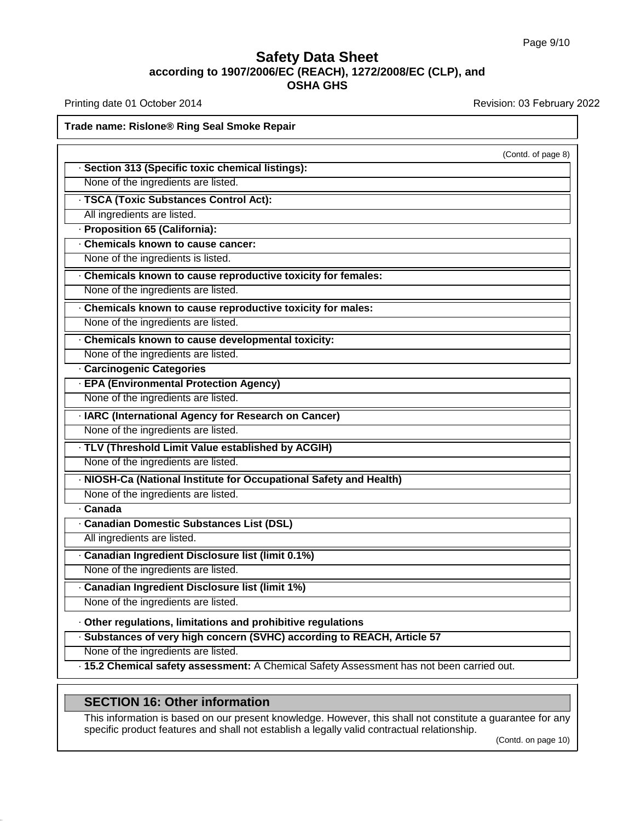### **Safety Data Sheet**<br> **according to 1907/2006/EC (REACH), 1272/2008/EC (CLP), and**<br> **OSHA GHS** t<mark>y Data Sheet</mark><br>C (REACH), 1272/2008<br>OSHA GHS **OSHA GHS**<br>Printing date 01 October 2014<br>Trade name: Rislone® Ring Seal Smoke Repair

Printing date 01 October 2014 **Printing date 01 October 2014** Revision: 03 February 2022

### (Contd. of page 8) · **Section 313 (Specific toxic chemical listings): Example: Rislone® Ring Seal Smoke Repair**<br>
• **Section 313 (Specific toxic chemical listings**<br>
• None of the ingredients are listed.<br>
• **TSCA (Toxic Substances Control Act):**<br>
• All ingredients are listed. None of the ingredients are listed.<br> **· TSCA (Toxic Substances Control A**<br>
All ingredients are listed.<br> **· Proposition 65 (California):**<br> **· Chemicals known to cause cancer:**<br>
None of the ingredients is listed. • **TSCA (Toxic Substances Control Act):**<br>
All ingredients are listed.<br>
• **Proposition 65 (California):**<br>
• **Chemicals known to cause cancer:**<br>
• **Chemicals known to cause reproductive toxicity for females: None of the ingredients are listed.** • **Proposition 65 (California):**<br>
• **Chemicals known to cause cancer:**<br>
• **Chemicals known to cause reproductive toxicity for females:**<br>
• **Chemicals known to cause reproductive toxic** • **Proposition 65 (Califorma):**<br>• Chemicals known to cause cancer:<br>• **Chemicals known to cause reproductive toxicity for females:**<br>• None of the ingredients are listed.<br>• **Chemicals known to cause reproductive toxicity for Chemicals known to cause reproductive toxicity for fem**<br>None of the ingredients are listed.<br>**· Chemicals known to cause reproductive toxicity for male**<br>None of the ingredients are listed.<br>**· Chemicals known to cause devel Example of the ingredients are listed.**<br> **Chemicals known to cause reproduction**<br> **Chemicals known to cause developer None of the ingredients are listed.**<br> **Carcinogenic Categories**<br> **EPA (Environmental Protection Age New** None of the ingredients are listed.<br>
← Chemicals known to cause developmental toxicity:<br>
None of the ingredients are listed.<br>
← Carcinogenic Categories<br>
← EPA (Environmental Protection Agency)<br>
None of the ingredients are • Chemicals known to cause developmental toxicity:<br>None of the ingredients are listed.<br>• **Carcinogenic Categories**<br>• **EPA (Environmental Protection Agency)**<br>None of the ingredients are listed.<br>None of the ingredients are **EPA (Environmental Protection Agency)**<br>
None of the ingredients are listed.<br> **TLARC (International Agency for Research on Cancer)**<br>
None of the ingredients are listed.<br> **TLV (Threshold Limit Value established by ACGIH)**<br> None of the ingredients are listed.<br> **None of the ingredients are listed.**<br> **TLV (Threshold Limit Value established by ACGIH)**<br>
None of the ingredients are listed.<br> **NIOSH-Ca (National Institute for Occupational Safety and** None of the ingredients are listed.<br> **· TLV (Threshold Limit Value established by ACGIH)**<br>
None of the ingredients are listed.<br> **· NIOSH-Ca (National Institute for Occupational Safe**<br>
None of the ingredients are listed.<br> **• NIOSH-Ca (National Institute for Occupational Safety and Health)**<br>None of the ingredients are listed.<br>**• Canadian Domestic Substances List (DSL)**<br>All ingredients are listed.<br>• Canadian Ingredient Disclosure list (limit All ingredients are listed.<br> **Canada**<br> **Canadian Domestic Substances List (DSL)**<br>
All ingredients are listed.<br> **Canadian Ingredient Disclosure list (limit 0.1%)**<br>
None of the ingredients are listed. **Canadian Domestic Substances List (DSL)**<br>
All ingredients are listed.<br> **Canadian Ingredient Disclosure list (limit 0.1%)**<br>
None of the ingredients are listed.<br> **Canadian Ingredient Disclosure list (limit 1%)**<br>
None of the The ingredient Disclosure list (limit 0.1%)<br>
None of the ingredients are listed.<br>
∴ Canadian Ingredient Disclosure list (limit 1%)<br>
None of the ingredients are listed.<br>
← Other regulations, limitations and prohibitive reg **• Canadian Ingredient Disclosure list (limit 1%)**<br>None of the ingredients are listed.<br> **• Other regulations, limitations and prohibitive regulations**<br>
• Substances of very high concern (SVHC) according to REACH, Article  $\cdot$  15.2 Chemical safety assessment: A Chemical Safety Assessment has not been carried out. **Substances of very high concern (SVHC) accordi**<br>None of the ingredients are listed.<br>15.2 Chemical safety assessment: A Chemical Saf<br>**SECTION 16: Other information**<br>This information is based on our present knowledge.<br>speci This information<br>
SECTION 16: Other information<br>
This information is based on our present knowledge. However, this shall not constitute a guarantee for any<br>
specific product features and shall not establish a legally valid

39.4.1

SECTION 16: Other information<br>This information is based on our present knowledge. However, this shall not constitute a guarantee for any<br>specific product features and shall not establish a legally valid contractual relatio